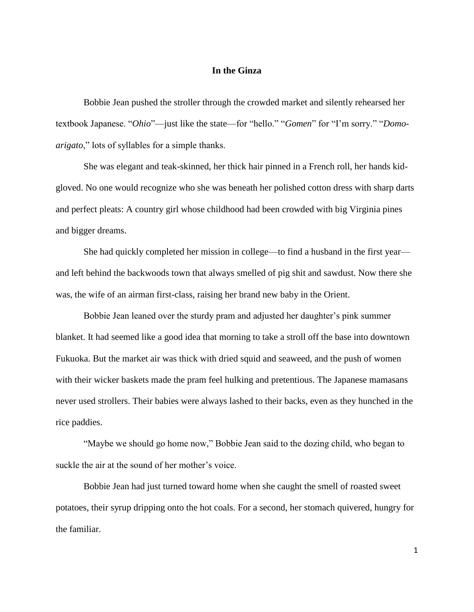## **In the Ginza**

Bobbie Jean pushed the stroller through the crowded market and silently rehearsed her textbook Japanese. "*Ohio*"—just like the state—for "hello." "*Gomen*" for "I'm sorry." "*Domoarigato*," lots of syllables for a simple thanks.

She was elegant and teak-skinned, her thick hair pinned in a French roll, her hands kidgloved. No one would recognize who she was beneath her polished cotton dress with sharp darts and perfect pleats: A country girl whose childhood had been crowded with big Virginia pines and bigger dreams.

She had quickly completed her mission in college—to find a husband in the first year and left behind the backwoods town that always smelled of pig shit and sawdust. Now there she was, the wife of an airman first-class, raising her brand new baby in the Orient.

Bobbie Jean leaned over the sturdy pram and adjusted her daughter's pink summer blanket. It had seemed like a good idea that morning to take a stroll off the base into downtown Fukuoka. But the market air was thick with dried squid and seaweed, and the push of women with their wicker baskets made the pram feel hulking and pretentious. The Japanese mamasans never used strollers. Their babies were always lashed to their backs, even as they hunched in the rice paddies.

"Maybe we should go home now," Bobbie Jean said to the dozing child, who began to suckle the air at the sound of her mother's voice.

Bobbie Jean had just turned toward home when she caught the smell of roasted sweet potatoes, their syrup dripping onto the hot coals. For a second, her stomach quivered, hungry for the familiar.

1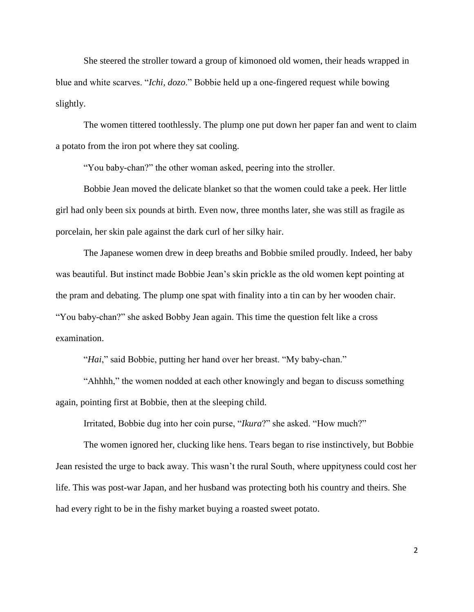She steered the stroller toward a group of kimonoed old women, their heads wrapped in blue and white scarves. "*Ichi, dozo*." Bobbie held up a one-fingered request while bowing slightly.

The women tittered toothlessly. The plump one put down her paper fan and went to claim a potato from the iron pot where they sat cooling.

"You baby-chan?" the other woman asked, peering into the stroller.

Bobbie Jean moved the delicate blanket so that the women could take a peek. Her little girl had only been six pounds at birth. Even now, three months later, she was still as fragile as porcelain, her skin pale against the dark curl of her silky hair.

The Japanese women drew in deep breaths and Bobbie smiled proudly. Indeed, her baby was beautiful. But instinct made Bobbie Jean's skin prickle as the old women kept pointing at the pram and debating. The plump one spat with finality into a tin can by her wooden chair. "You baby-chan?" she asked Bobby Jean again. This time the question felt like a cross examination.

"*Hai*," said Bobbie, putting her hand over her breast. "My baby-chan."

"Ahhhh," the women nodded at each other knowingly and began to discuss something again, pointing first at Bobbie, then at the sleeping child.

Irritated, Bobbie dug into her coin purse, "*Ikura*?" she asked. "How much?"

The women ignored her, clucking like hens. Tears began to rise instinctively, but Bobbie Jean resisted the urge to back away. This wasn't the rural South, where uppityness could cost her life. This was post-war Japan, and her husband was protecting both his country and theirs. She had every right to be in the fishy market buying a roasted sweet potato.